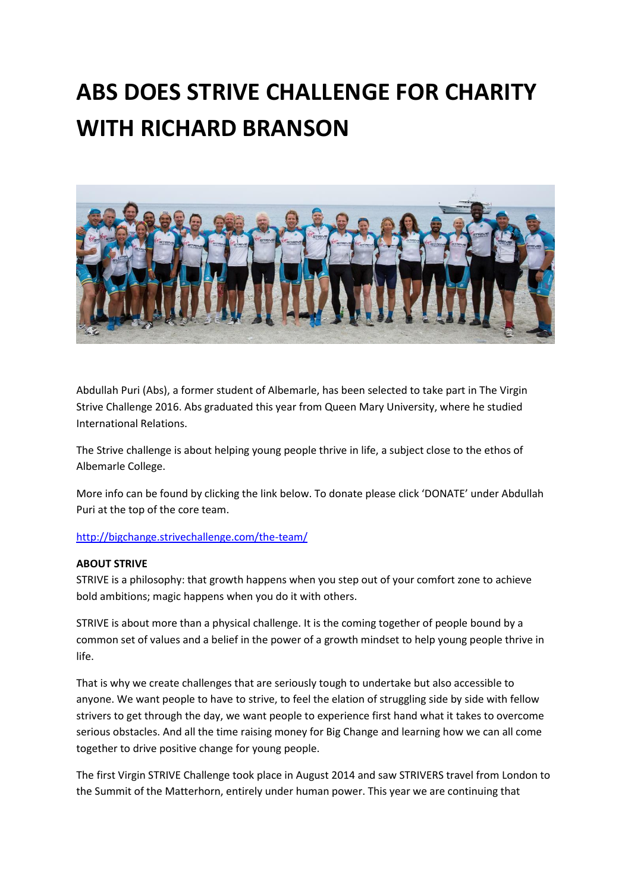# **ABS DOES STRIVE CHALLENGE FOR CHARITY WITH RICHARD BRANSON**



Abdullah Puri (Abs), a former student of Albemarle, has been selected to take part in The Virgin Strive Challenge 2016. Abs graduated this year from Queen Mary University, where he studied International Relations.

The Strive challenge is about helping young people thrive in life, a subject close to the ethos of Albemarle College.

More info can be found by clicking the link below. To donate please click 'DONATE' under Abdullah Puri at the top of the core team.

#### <http://bigchange.strivechallenge.com/the-team/>

#### **ABOUT STRIVE**

STRIVE is a philosophy: that growth happens when you step out of your comfort zone to achieve bold ambitions; magic happens when you do it with others.

STRIVE is about more than a physical challenge. It is the coming together of people bound by a common set of values and a belief in the power of a growth mindset to help young people thrive in life.

That is why we create challenges that are seriously tough to undertake but also accessible to anyone. We want people to have to strive, to feel the elation of struggling side by side with fellow strivers to get through the day, we want people to experience first hand what it takes to overcome serious obstacles. And all the time raising money for Big Change and learning how we can all come together to drive positive change for young people.

The first Virgin STRIVE Challenge took place in August 2014 and saw STRIVERS travel from London to the Summit of the Matterhorn, entirely under human power. This year we are continuing that